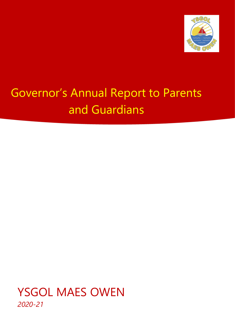

# Governor's Annual Report to Parents and Guardians

YSGOL MAES OWEN *2020-21*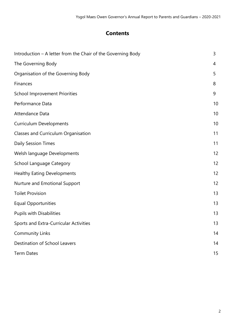## **Contents**

| Introduction - A letter from the Chair of the Governing Body | 3  |
|--------------------------------------------------------------|----|
| The Governing Body                                           | 4  |
| Organisation of the Governing Body                           | 5  |
| Finances                                                     | 8  |
| <b>School Improvement Priorities</b>                         | 9  |
| Performance Data                                             | 10 |
| Attendance Data                                              | 10 |
| <b>Curriculum Developments</b>                               | 10 |
| Classes and Curriculum Organisation                          | 11 |
| <b>Daily Session Times</b>                                   | 11 |
| Welsh language Developments                                  | 12 |
| <b>School Language Category</b>                              | 12 |
| <b>Healthy Eating Developments</b>                           | 12 |
| Nurture and Emotional Support                                | 12 |
| <b>Toilet Provision</b>                                      | 13 |
| <b>Equal Opportunities</b>                                   | 13 |
| <b>Pupils with Disabilities</b>                              | 13 |
| Sports and Extra-Curricular Activities                       | 13 |
| <b>Community Links</b>                                       | 14 |
| Destination of School Leavers                                | 14 |
| <b>Term Dates</b>                                            | 15 |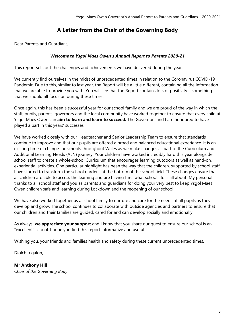## **A Letter from the Chair of the Governing Body**

Dear Parents and Guardians,

#### *Welcome to Ysgol Maes Owen's Annual Report to Parents 2020-21*

This report sets out the challenges and achievements we have delivered during the year.

We currently find ourselves in the midst of unprecedented times in relation to the Coronavirus COVID-19 Pandemic. Due to this, similar to last year, the Report will be a little different, containing all the information that we are able to provide you with. You will see that the Report contains lots of positivity – something that we should all focus on during these times!

Once again, this has been a successful year for our school family and we are proud of the way in which the staff, pupils, parents, governors and the local community have worked together to ensure that every child at Ysgol Maes Owen can **aim to learn and learn to succeed.** The Governors and I are honoured to have played a part in this years' successes.

We have worked closely with our Headteacher and Senior Leadership Team to ensure that standards continue to improve and that our pupils are offered a broad and balanced educational experience. It is an exciting time of change for schools throughout Wales as we make changes as part of the Curriculum and Additional Learning Needs (ALN) journey. Your children have worked incredibly hard this year alongside school staff to create a whole-school Curriculum that encourages learning outdoors as well as hand-on, experiential activities. One particular highlight has been the way that the children, supported by school staff, have started to transform the school gardens at the bottom of the school field. These changes ensure that all children are able to access the learning and are having fun…what school life is all about! My personal thanks to all school staff and you as parents and guardians for doing your very best to keep Ysgol Maes Owen children safe and learning during Lockdown and the reopening of our school.

We have also worked together as a school family to nurture and care for the needs of all pupils as they develop and grow. The school continues to collaborate with outside agencies and partners to ensure that our children and their families are guided, cared for and can develop socially and emotionally.

As always, **we appreciate your support** and I know that you share our quest to ensure our school is an "excellent" school. I hope you find this report informative and useful.

Wishing you, your friends and families health and safety during these current unprecedented times.

Diolch o galon,

**Mr Anthony Hill** *Chair of the Governing Body*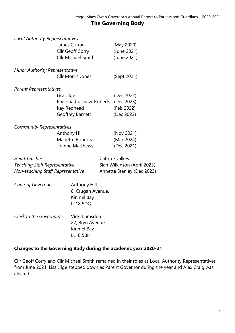## **The Governing Body**

| <b>Local Authority Representatives</b> |                           |                             |
|----------------------------------------|---------------------------|-----------------------------|
|                                        | James Curran              | (May 2020)                  |
|                                        | Cllr Geoff Corry          | (June 2021)                 |
|                                        | <b>Cllr Michael Smith</b> | (June 2021)                 |
| <b>Minor Authority Representative</b>  |                           |                             |
|                                        | <b>Cllr Morris Jones</b>  | (Sept 2021)                 |
| <b>Parent Representatives</b>          |                           |                             |
|                                        | Lisa Jilge                | (Dec 2022)                  |
|                                        | Philippa Culshaw-Roberts  | (Dec 2023)                  |
|                                        | Kay Redhead               | (Feb 2022)                  |
|                                        | Geoffrey Barnett          | (Dec 2023)                  |
| <b>Community Representatives</b>       |                           |                             |
|                                        | Anthony Hill              | (Nov 2021)                  |
|                                        | Mariette Roberts          | (Mar 2024)                  |
|                                        | Joanne Matthews           | (Dec 2021)                  |
| <b>Head Teacher</b>                    |                           | <b>Catrin Foulkes</b>       |
| <b>Teaching Staff Representative</b>   |                           | Sian Wilkinson (April 2023) |
| Non-teaching Staff Representative      |                           | Annette Stanley (Dec 2023)  |
| <b>Chair of Governors:</b>             | Anthony Hill              |                             |
|                                        | 8, Crugan Avenue,         |                             |
|                                        | Kinmel Bay                |                             |
|                                        | <b>LL18 5DG</b>           |                             |
| Clerk to the Governors:                | Vicki Lumsden             |                             |
|                                        | 27, Bryn Avenue           |                             |

#### **Changes to the Governing Body during the academic year 2020-21**

Kinmel Bay LL18 5BH

Cllr Geoff Corry and Cllr Michael Smith remained in their roles as Local Authority Representatives from June 2021. Lisa Jilge stepped down as Parent Governor during the year and Alex Craig was elected.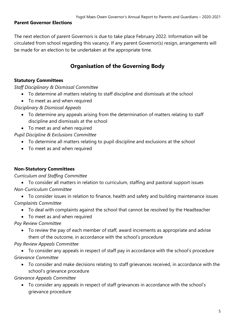#### **Parent Governor Elections**

The next election of parent Governors is due to take place February 2022. Information will be circulated from school regarding this vacancy. If any parent Governor(s) resign, arrangements will be made for an election to be undertaken at the appropriate time.

## **Organisation of the Governing Body**

#### **Statutory Committees**

*Staff Disciplinary & Dismissal Committee*

- To determine all matters relating to staff discipline and dismissals at the school
- To meet as and when required

*Disciplinary & Dismissal Appeals*

- To determine any appeals arising from the determination of matters relating to staff discipline and dismissals at the school
- To meet as and when required

*Pupil Discipline & Exclusions Committee*

- To determine all matters relating to pupil discipline and exclusions at the school
- To meet as and when required

#### **Non-Statutory Committees**

#### *Curriculum and Staffing Committee*

 To consider all matters in relation to curriculum, staffing and pastoral support issues *Non-Curriculum Committee*

 To consider issues in relation to finance, health and safety and building maintenance issues *Complaints Committee*

- To deal with complaints against the school that cannot be resolved by the Headteacher
- To meet as and when required

*Pay Review Committee*

 To review the pay of each member of staff, award increments as appropriate and advise them of the outcome, in accordance with the school's procedure

#### *Pay Review Appeals Committee*

 To consider any appeals in respect of staff pay in accordance with the school's procedure *Grievance Committee*

 To consider and make decisions relating to staff grievances received, in accordance with the school's grievance procedure

*Grievance Appeals Committee*

 To consider any appeals in respect of staff grievances in accordance with the school's grievance procedure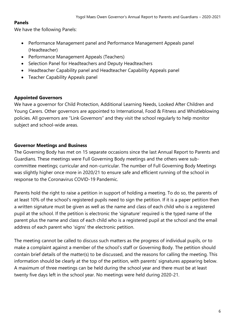#### **Panels**

We have the following Panels:

- Performance Management panel and Performance Management Appeals panel (Headteacher)
- Performance Management Appeals (Teachers)
- Selection Panel for Headteachers and Deputy Headteachers
- Headteacher Capability panel and Headteacher Capability Appeals panel
- Teacher Capability Appeals panel

#### **Appointed Governors**

We have a governor for Child Protection, Additional Learning Needs, Looked After Children and Young Carers. Other governors are appointed to International, Food & Fitness and Whistleblowing policies. All governors are "Link Governors" and they visit the school regularly to help monitor subject and school-wide areas.

#### **Governor Meetings and Business**

The Governing Body has met on 15 separate occasions since the last Annual Report to Parents and Guardians. These meetings were Full Governing Body meetings and the others were subcommittee meetings; curricular and non-curricular. The number of Full Governing Body Meetings was slightly higher once more in 2020/21 to ensure safe and efficient running of the school in response to the Coronavirus COVID-19 Pandemic.

Parents hold the right to raise a petition in support of holding a meeting. To do so, the parents of at least 10% of the school's registered pupils need to sign the petition. If it is a paper petition then a written signature must be given as well as the name and class of each child who is a registered pupil at the school. If the petition is electronic the 'signature' required is the typed name of the parent plus the name and class of each child who is a registered pupil at the school and the email address of each parent who 'signs' the electronic petition.

The meeting cannot be called to discuss such matters as the progress of individual pupils, or to make a complaint against a member of the school's staff or Governing Body. The petition should contain brief details of the matter(s) to be discussed, and the reasons for calling the meeting. This information should be clearly at the top of the petition, with parents' signatures appearing below. A maximum of three meetings can be held during the school year and there must be at least twenty five days left in the school year. No meetings were held during 2020-21.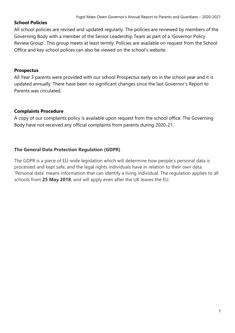#### **School Policies**

All school policies are revised and updated regularly. The policies are reviewed by members of the Governing Body with a member of the Senior Leadership Team as part of a 'Governor Policy Review Group'. This group meets at least termly. Policies are available on request from the School Office and key school polices can also be viewed on the school's website.

#### **Prospectus**

All Year 3 parents were provided with our school Prospectus early on in the school year and it is updated annually. There have been no significant changes since the last Governor's Report to Parents was circulated.

#### **Complaints Procedure**

A copy of our complaints policy is available upon request from the school office. The Governing Body have not received any official complaints from parents during 2020-21.

#### **The General Data Protection Regulation (GDPR)**

The GDPR is a piece of EU-wide legislation which will determine how people's personal data is processed and kept safe, and the legal rights individuals have in relation to their own data. 'Personal data' means information that can identify a living individual. The regulation applies to all schools from **25 May 2018**, and will apply even after the UK leaves the EU.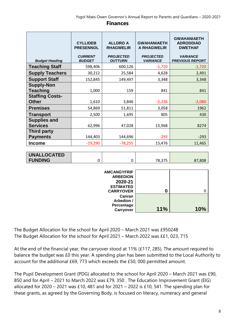#### **CYLLIDEB PRESENNOL ALLDRO A RHAGWELIR GWAHANIAETH A RHAGWELIR GWAHANIAETH ADRODDIAD DWETHAF** *Budget Heading CURRENT BUDGET PROJECTED OUTTURN PROJECTED VARIANCE VARIANCE PREVIOUS REPORT* **Teaching Staff**  $\begin{array}{|c|c|c|c|c|} \hline \text{598,406} & 600,126 & -1,720 \hline \end{array}$ **Supply Teachers** | 30,212 | 25,584 4,628 2,491 **Support Staff** 152,845 149,497 3,348 3,348 **Supply-Non Teaching** 1,000 159 841 841 **Staffing Costs-Other 1,610 3,846 -2,236 -2,080 -2,080 Premises** 1962 **Transport** 1,695 805 430 **Supplies and Services** 62,996 47,028 15,968 8274 **Third party Payments** 144,403 144,696 -293 **Income** -19,290 -78,255 15,476 11,465

#### **Finances**

| <b>UNALLOCATED</b> |  |        |      |
|--------------------|--|--------|------|
| <b>FUNDING</b>     |  | 78,375 | .808 |

| <b>AMCANGYFRIF</b><br><b>ARBEDION</b><br>2020-21<br><b>ESTIMATED</b><br><b>CARRYOVER</b> | O   |     |
|------------------------------------------------------------------------------------------|-----|-----|
| Canran                                                                                   |     |     |
| Arbedion /<br>Percentage                                                                 |     |     |
| <b>Carryover</b>                                                                         | 11% | 10% |

The Budget Allocation for the school for April 2020 – March 2021 was £950248 The Budget Allocation for the school for April 2021 – March 2022 was ££1, 023, 715

At the end of the financial year, the carryover stood at 11% (£117, 285). The amount required to balance the budget was £0 this year. A spending plan has been submitted to the Local Authority to account for the additional £69, 773 which exceeds the £50, 000 permitted amount.

The Pupil Development Grant (PDG) allocated to the school for April 2020 – March 2021 was £90, 850 and for April – 2021 to March 2022 was £79, 350 . The Education Improvement Grant (EIG) allocated for 2020 – 2021 was £10, 481 and for 2021 – 2022 is £10, 541. The spending plan for these grants, as agreed by the Governing Body, is focused on literacy, numeracy and general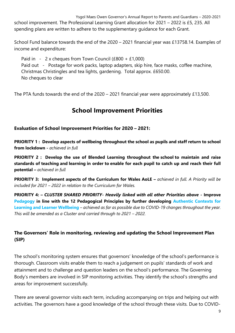Ysgol Maes Owen Governor's Annual Report to Parents and Guardians – 2020-2021 school improvement. The Professional Learning Grant allocation for 2021 – 2022 is £5, 235. All spending plans are written to adhere to the supplementary guidance for each Grant.

School Fund balance towards the end of the 2020 – 2021 financial year was £13758.14. Examples of income and expenditure:

Paid in - 2 x cheques from Town Council (£800 + £1,000) Paid out - Postage for work packs, laptop adapters, skip hire, face masks, coffee machine, Christmas Christingles and tea lights, gardening. Total approx. £650.00. No cheques to clear

The PTA funds towards the end of the 2020 – 2021 financial year were approximately £13,500.

## **School Improvement Priorities**

#### **Evaluation of School Improvement Priorities for 2020 – 2021:**

**PRIORITY 1 : Develop aspects of wellbeing throughout the school as pupils and staff return to school from lockdown -** *achieved in full*

**PRIORITY 2 : Develop the use of Blended Learning throughout the school to maintain and raise standards of teaching and learning in order to enable for each pupil to catch up and reach their full potential –** *achieved in full*

**PRIORITY 3: Implement aspects of the Curriculum for Wales AoLE –** *achieved in full. A Priority will be included for 2021 – 2022 in relation to the Curriculum for Wales.*

**PRIORITY 4:** *– CLUSTER SHARED PRIORITY- Heavily linked with all other Priorities above -* **Improve Pedagogy in line with the 12 Pedagogical Principles by further developing Authentic Contexts for Learning and Learner Wellbeing** *– achieved as far as possible due to COVID-19 changes throughout the year. This will be amended as a Cluster and carried through to 2021 – 2022.*

#### **The Governors' Role in monitoring, reviewing and updating the School Improvement Plan (SIP)**

The school's monitoring system ensures that governors' knowledge of the school's performance is thorough. Classroom visits enable them to reach a judgement on pupils' standards of work and attainment and to challenge and question leaders on the school's performance. The Governing Body's members are involved in SIP monitoring activities. They identify the school's strengths and areas for improvement successfully.

There are several governor visits each term, including accompanying on trips and helping out with activities. The governors have a good knowledge of the school through these visits. Due to COVID-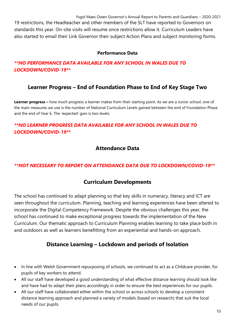19 restrictions, the Headteacher and other members of the SLT have reported to Governors on standards this year. On-site visits will resume once restrictions allow it. Curriculum Leaders have also started to email their Link Governor their subject Action Plans and subject monitoring forms.

#### **Performance Data**

#### *\*\*NO PERFORMANCE DATA AVAILABLE FOR ANY SCHOOL IN WALES DUE TO LOCKDOWN/COVID-19\*\**

## **Learner Progress – End of Foundation Phase to End of Key Stage Two**

**Learner progress –** how much progress a learner makes from their starting point. As we are a Junior school, one of the main measures we use is the number of National Curriculum Levels gained between the end of Foundation Phase and the end of Year 6. The 'expected' gain is two levels.

#### *\*\*NO LEARNER PROGRESS DATA AVAILABLE FOR ANY SCHOOL IN WALES DUE TO LOCKDOWN/COVID-19\*\**

## **Attendance Data**

#### *\*\*NOT NECESSARY TO REPORT ON ATTENDANCE DATA DUE TO LOCKDOWN/COVID-19\*\**

### **Curriculum Developments**

The school has continued to adapt planning so that key skills in numeracy, literacy and ICT are seen throughout the curriculum. Planning, teaching and learning experiences have been altered to incorporate the Digital Competency Framework. Despite the obvious challenges this year, the school has continued to make exceptional progress towards the implementation of the New Curriculum. Our thematic approach to Curriculum Planning enables learning to take place both in and outdoors as well as learners benefitting from an experiential and hands-on approach.

## **Distance Learning – Lockdown and periods of Isolation**

- In line with Welsh Government repurposing of schools, we continued to act as a Childcare provider, for pupils of key workers to attend.
- All our staff have developed a good understanding of what effective distance learning should look like and have had to adapt their plans accordingly in order to ensure the best experiences for our pupils.
- All our staff have collaborated either within the school or across schools to develop a consistent distance learning approach and planned a variety of models (based on research) that suit the local needs of our pupils.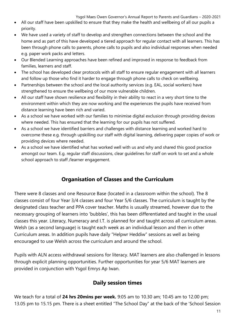- All our staff have been upskilled to ensure that they make the health and wellbeing of all our pupils a priority.
- We have used a variety of staff to develop and strengthen connections between the school and the home and as part of this have developed a tiered approach for regular contact with all learners. This has been through phone calls to parents, phone calls to pupils and also individual responses when needed e.g. paper work packs and letters.
- Our Blended Learning approaches have been refined and improved in response to feedback from families, learners and staff.
- The school has developed clear protocols with all staff to ensure regular engagement with all learners and follow up those who find it harder to engage through phone calls to check on wellbeing.
- Partnerships between the school and the local authority services (e.g. EAL, social workers) have strengthened to ensure the wellbeing of our more vulnerable children.
- All our staff have shown resilience and flexibility in their ability to react in a very short time to the environment within which they are now working and the experiences the pupils have received from distance learning have been rich and varied.
- As a school we have worked with our families to minimise digital exclusion through providing devices where needed. This has ensured that the learning for our pupils has not suffered.
- As a school we have identified barriers and challenges with distance learning and worked hard to overcome these e.g. through upskilling our staff with digital learning, delivering paper copies of work or providing devices where needed.
- As a school we have identified what has worked well with us and why and shared this good practice amongst our team. E.g. regular staff discussions, clear guidelines for staff on work to set and a whole school approach to staff /learner engagement.

## **Organisation of Classes and the Curriculum**

There were 8 classes and one Resource Base (located in a classroom within the school). The 8 classes consist of four Year 3/4 classes and four Year 5/6 classes. The curriculum is taught by the designated class teacher and PPA cover teacher. Maths is usually streamed, however due to the necessary grouping of learners into 'bubbles', this has been differentiated and taught in the usual classes this year. Literacy, Numeracy and I.T. is planned for and taught across all curriculum areas. Welsh (as a second language) is taught each week as an individual lesson and then in other Curriculum areas. In addition pupils have daily "Helpwr Heddiw" sessions as well as being encouraged to use Welsh across the curriculum and around the school.

Pupils with ALN access withdrawal sessions for literacy. MAT learners are also challenged in lessons through explicit planning opportunities. Further opportunities for year 5/6 MAT learners are provided in conjunction with Ysgol Emrys Ap Iwan.

## **Daily session times**

We teach for a total of **24 hrs 20mins per week.** 9:05 am to 10.30 am; 10.45 am to 12.00 pm; 13.05 pm to 15.15 pm. There is a sheet entitled "The School Day" at the back of the 'School Session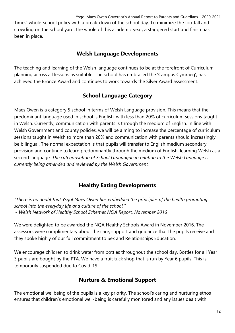Times' whole-school policy with a break-down of the school day. To minimize the footfall and crowding on the school yard, the whole of this academic year, a staggered start and finish has been in place.

## **Welsh Language Developments**

The teaching and learning of the Welsh language continues to be at the forefront of Curriculum planning across all lessons as suitable. The school has embraced the 'Campus Cymraeg', has achieved the Bronze Award and continues to work towards the Silver Award assessment.

## **School Language Category**

Maes Owen is a category 5 school in terms of Welsh Language provision. This means that the predominant language used in school is English, with less than 20% of curriculum sessions taught in Welsh. Currently, communication with parents is through the medium of English. In line with Welsh Government and county policies, we will be aiming to increase the percentage of curriculum sessions taught in Welsh to more than 20% and communication with parents should increasingly be bilingual. The normal expectation is that pupils will transfer to English medium secondary provision and continue to learn predominantly through the medium of English, learning Welsh as a second language. *The categorisation of School Languagae in relation to the Welsh Language is currently being amended and reviewed by the Welsh Government.*

## **Healthy Eating Developments**

*"There is no doubt that Ysgol Maes Owen has embedded the principles of the health promoting school into the everyday life and culture of the school." ~ Welsh Network of Healthy School Schemes NQA Report, November 2016*

We were delighted to be awarded the NQA Healthy Schools Award in November 2016. The assessors were complimentary about the care, support and guidance that the pupils receive and they spoke highly of our full commitment to Sex and Relationships Education.

We encourage children to drink water from bottles throughout the school day. Bottles for all Year 3 pupils are bought by the PTA. We have a fruit tuck shop that is run by Year 6 pupils. This is temporarily suspended due to Covid-19.

## **Nurture & Emotional Support**

The emotional wellbeing of the pupils is a key priority. The school's caring and nurturing ethos ensures that children's emotional well-being is carefully monitored and any issues dealt with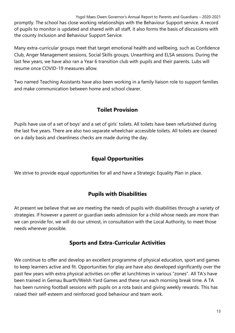Ysgol Maes Owen Governor's Annual Report to Parents and Guardians – 2020-2021 promptly. The school has close working relationships with the Behaviour Support service. A record of pupils to monitor is updated and shared with all staff, it also forms the basis of discussions with the county Inclusion and Behaviour Support Service.

Many extra-curricular groups meet that target emotional health and wellbeing, such as Confidence Club, Anger Management sessions, Social Skills groups, Unearthing and ELSA sessions. During the last few years, we have also ran a Year 6 transition club with pupils and their parents. Lubs will resume once COVID-19 measures allow.

Two named Teaching Assistants have also been working in a family liaison role to support families and make communication between home and school clearer.

## **Toilet Provision**

Pupils have use of a set of boys' and a set of girls' toilets. All toilets have been refurbished during the last five years. There are also two separate wheelchair accessible toilets. All toilets are cleaned on a daily basis and cleanliness checks are made during the day.

## **Equal Opportunities**

We strive to provide equal opportunities for all and have a Strategic Equality Plan in place.

## **Pupils with Disabilities**

At present we believe that we are meeting the needs of pupils with disabilities through a variety of strategies. If however a parent or guardian seeks admission for a child whose needs are more than we can provide for, we will do our utmost, in consultation with the Local Authority, to meet those needs wherever possible.

## **Sports and Extra-Curricular Activities**

We continue to offer and develop an excellent programme of physical education, sport and games to keep learners active and fit. Opportunities for play are have also developed significantly over the past few years with extra physical activities on offer at lunchtimes in various "zones". All TA's have been trained in Gemau Buarth/Welsh Yard Games and these run each morning break time. A TA has been running football sessions with pupils on a rota basis and giving weekly rewards. This has raised their self-esteem and reinforced good behaviour and team work.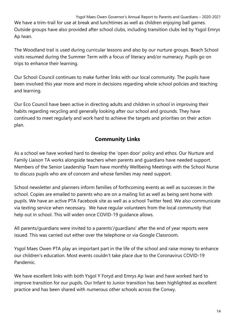Ysgol Maes Owen Governor's Annual Report to Parents and Guardians – 2020-2021 We have a trim-trail for use at break and lunchtimes as well as children enjoying ball games. Outside groups have also provided after school clubs, including transition clubs led by Ysgol Emrys Ap Iwan.

The Woodland trail is used during curricular lessons and also by our nurture groups. Beach School visits resumed during the Summer Term with a focus of literacy and/or numeracy. Pupils go on trips to enhance their learning.

Our School Council continues to make further links with our local community. The pupils have been involved this year more and more in decisions regarding whole school policies and teaching and learning.

Our Eco Council have been active in directing adults and children in school in improving their habits regarding recycling and generally looking after our school and grounds. They have continued to meet regularly and work hard to achieve the targets and priorities on their action plan.

## **Community Links**

As a school we have worked hard to develop the 'open door' policy and ethos. Our Nurture and Family Liaison TA works alongside teachers when parents and guardians have needed support. Members of the Senior Leadership Team have monthly Wellbeing Meetings with the School Nurse to discuss pupils who are of concern and whose families may need support.

School newsletter and planners inform families of forthcoming events as well as successes in the school. Copies are emailed to parents who are on a mailing list as well as being sent home with pupils. We have an active PTA Facebook site as well as a school Twitter feed. We also communicate via texting service when necessary. We have regular volunteers from the local community that help out in school. This will widen once COVID-19 guidance allows.

All parents/guardians were invited to a parents'/guardians' after the end of year reports were issued. This was carried out either over the telephone or via Google Classroom.

Ysgol Maes Owen PTA play an important part in the life of the school and raise money to enhance our children's education. Most events couldn't take place due to the Coronavirus COVID-19 Pandemic.

We have excellent links with both Ysgol Y Foryd and Emrys Ap Iwan and have worked hard to improve transition for our pupils. Our Infant to Junior transition has been highlighted as excellent practice and has been shared with numerous other schools across the Conwy.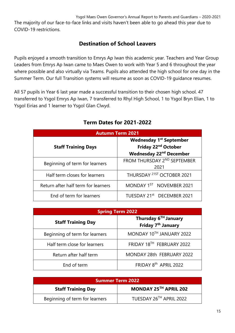The majority of our face-to-face links and visits haven't been able to go ahead this year due to COVID-19 restrictions.

## **Destination of School Leavers**

Pupils enjoyed a smooth transition to Emrys Ap Iwan this academic year. Teachers and Year Group Leaders from Emrys Ap Iwan came to Maes Owen to work with Year 5 and 6 throughout the year where possible and also virtually via Teams. Pupils also attended the high school for one day in the Summer Term. Our full Transition systems will resume as soon as COVID-19 guidance resumes.

All 57 pupils in Year 6 last year made a successful transition to their chosen high school. 47 transferred to Ysgol Emrys Ap Iwan, 7 transferred to Rhyl High School, 1 to Ysgol Bryn Elian, 1 to Ysgol Eirias and 1 learner to Ysgol Glan Clwyd.

| <b>Autumn Term 2021</b>             |                                                                                                                |
|-------------------------------------|----------------------------------------------------------------------------------------------------------------|
| <b>Staff Training Days</b>          | <b>Wednesday 1st September</b><br>Friday 22 <sup>nd</sup> October<br><b>Wednesday 22<sup>nd</sup> December</b> |
| Beginning of term for learners      | FROM THURSDAY 2 <sup>ND</sup> SEPTEMBER<br>2021                                                                |
| Half term closes for learners       | THURSDAY <sup>21ST</sup> OCTOBER 2021                                                                          |
| Return after half term for learners | MONDAY 1ST NOVEMBER 2021                                                                                       |
| End of term for learners            | TUESDAY 21st DECEMBER 2021                                                                                     |

## **Term Dates for 2021-2022**

| <b>Spring Term 2022</b>        |                                                                    |
|--------------------------------|--------------------------------------------------------------------|
| <b>Staff Training Day</b>      | Thursday 6 <sup>TH</sup> January<br>Friday 7 <sup>th</sup> January |
| Beginning of term for learners | MONDAY 10TH JANUARY 2022                                           |
| Half term close for learners   | FRIDAY 18TH FEBRUARY 2022                                          |
| Return after half term         | MONDAY 28th FEBRUARY 2022                                          |
| End of term                    | FRIDAY 8th APRIL 2022                                              |

| <b>Summer Term 2022</b>        |                         |  |
|--------------------------------|-------------------------|--|
| <b>Staff Training Day</b>      | MONDAY 25TH APRIL 202   |  |
| Beginning of term for learners | TUESDAY 26TH APRIL 2022 |  |